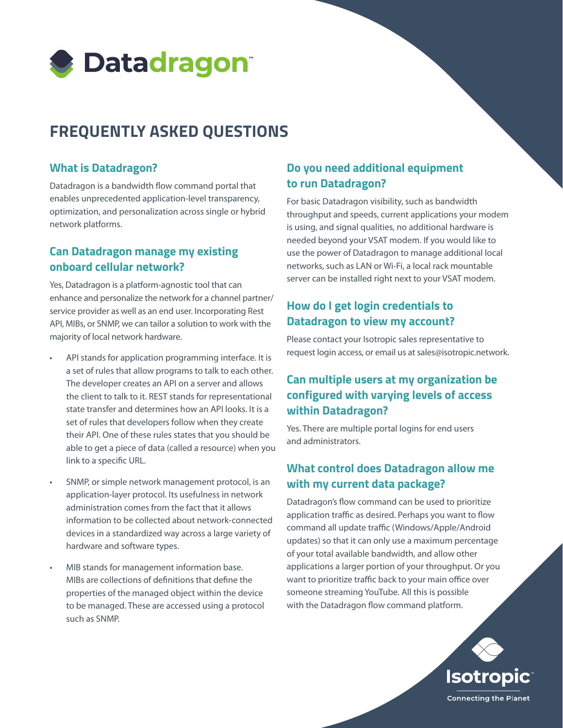

# **FREQUENTLY ASKED QUESTIONS**

### **What is Datadragon?**

Datadragon is a bandwidth flow command portal that enables unprecedented application-level transparency, optimization, and personalization across single or hybrid network platforms.

# **Can Datadragon manage my existing onboard cellular network?**

Yes, Datadragon is a platform-agnostic tool that can enhance and personalize the network for a channel partner/ service provider as well as an end user. Incorporating Rest API, MIBs, or SNMP, we can tailor a solution to work with the majority of local network hardware.

- API stands for application programming interface. It is a set of rules that allow programs to talk to each other. The developer creates an API on a server and allows the client to talk to it. REST stands for representational state transfer and determines how an API looks. It is a set of rules that developers follow when they create their API. One of these rules states that you should be able to get a piece of data (called a resource) when you link to a specific URL.
- SNMP, or simple network management protocol, is an application-layer protocol. Its usefulness in network administration comes from the fact that it allows information to be collected about network-connected devices in a standardized way across a large variety of hardware and software types.
- MIB stands for management information base. MIBs are collections of definitions that define the properties of the managed object within the device to be managed. These are accessed using a protocol such as SNMP.

# **Do you need additional equipment to run Datadragon?**

For basic Datadragon visibility, such as bandwidth throughput and speeds, current applications your modem is using, and signal qualities, no additional hardware is needed beyond your VSAT modem. If you would like to use the power of Datadragon to manage additional local networks, such as LAN or Wi-Fi, a local rack mountable server can be installed right next to your VSAT modem.

# **How do I get login credentials to Datadragon to view my account?**

Please contact your Isotropic sales representative to request login access, or email us at sales@isotropic.network.

# **Can multiple users at my organization be configured with varying levels of access within Datadragon?**

Yes. There are multiple portal logins for end users and administrators.

## **What control does Datadragon allow me with my current data package?**

Datadragon's flow command can be used to prioritize application traffic as desired. Perhaps you want to flow command all update traffic (Windows/Apple/Android updates) so that it can only use a maximum percentage of your total available bandwidth, and allow other applications a larger portion of your throughput. Or you want to prioritize traffic back to your main office over someone streaming YouTube. All this is possible with the Datadragon flow command platform.